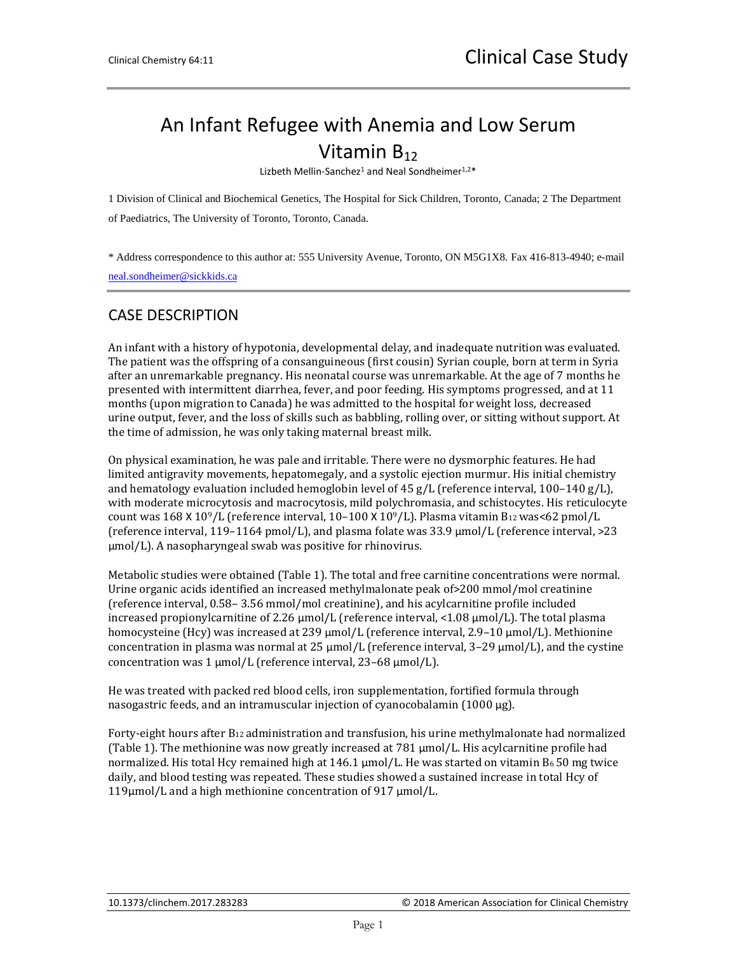## An Infant Refugee with Anemia and Low Serum Vitamin  $B_{12}$

Lizbeth Mellin-Sanchez<sup>1</sup> and Neal Sondheimer<sup>1,2\*</sup>

1 Division of Clinical and Biochemical Genetics, The Hospital for Sick Children, Toronto, Canada; 2 The Department of Paediatrics, The University of Toronto, Toronto, Canada.

\* Address correspondence to this author at: 555 University Avenue, Toronto, ON M5G1X8. Fax 416-813-4940; e-mail [neal.sondheimer@sickkids.ca](mailto:neal.sondheimer@sickkids.ca)

## CASE DESCRIPTION

An infant with a history of hypotonia, developmental delay, and inadequate nutrition was evaluated. The patient was the offspring of a consanguineous (first cousin) Syrian couple, born at term in Syria after an unremarkable pregnancy. His neonatal course was unremarkable. At the age of 7 months he presented with intermittent diarrhea, fever, and poor feeding. His symptoms progressed, and at 11 months (upon migration to Canada) he was admitted to the hospital for weight loss, decreased urine output, fever, and the loss of skills such as babbling, rolling over, or sitting without support. At the time of admission, he was only taking maternal breast milk.

On physical examination, he was pale and irritable. There were no dysmorphic features. He had limited antigravity movements, hepatomegaly, and a systolic ejection murmur. His initial chemistry and hematology evaluation included hemoglobin level of 45 g/L (reference interval, 100–140 g/L), with moderate microcytosis and macrocytosis, mild polychromasia, and schistocytes. His reticulocyte count was  $168 \times 10^9$ /L (reference interval,  $10-100 \times 10^9$ /L). Plasma vitamin B12 was<62 pmol/L (reference interval, 119–1164 pmol/L), and plasma folate was 33.9 µmol/L (reference interval, >23 µmol/L). A nasopharyngeal swab was positive for rhinovirus.

Metabolic studies were obtained (Table 1). The total and free carnitine concentrations were normal. Urine organic acids identified an increased methylmalonate peak of>200 mmol/mol creatinine (reference interval, 0.58– 3.56 mmol/mol creatinine), and his acylcarnitine profile included increased propionylcarnitine of 2.26  $\mu$ mol/L (reference interval, <1.08  $\mu$ mol/L). The total plasma homocysteine (Hcy) was increased at 239 µmol/L (reference interval, 2.9–10 µmol/L). Methionine concentration in plasma was normal at  $25 \mu$ mol/L (reference interval,  $3-29 \mu$ mol/L), and the cystine concentration was 1 µmol/L (reference interval, 23–68 µmol/L).

He was treated with packed red blood cells, iron supplementation, fortified formula through nasogastric feeds, and an intramuscular injection of cyanocobalamin  $(1000 \mu g)$ .

Forty-eight hours after B12 administration and transfusion, his urine methylmalonate had normalized (Table 1). The methionine was now greatly increased at 781 µmol/L. His acylcarnitine profile had normalized. His total Hcy remained high at  $146.1 \mu$ mol/L. He was started on vitamin B650 mg twice daily, and blood testing was repeated. These studies showed a sustained increase in total Hcy of 119µmol/L and a high methionine concentration of 917 µmol/L.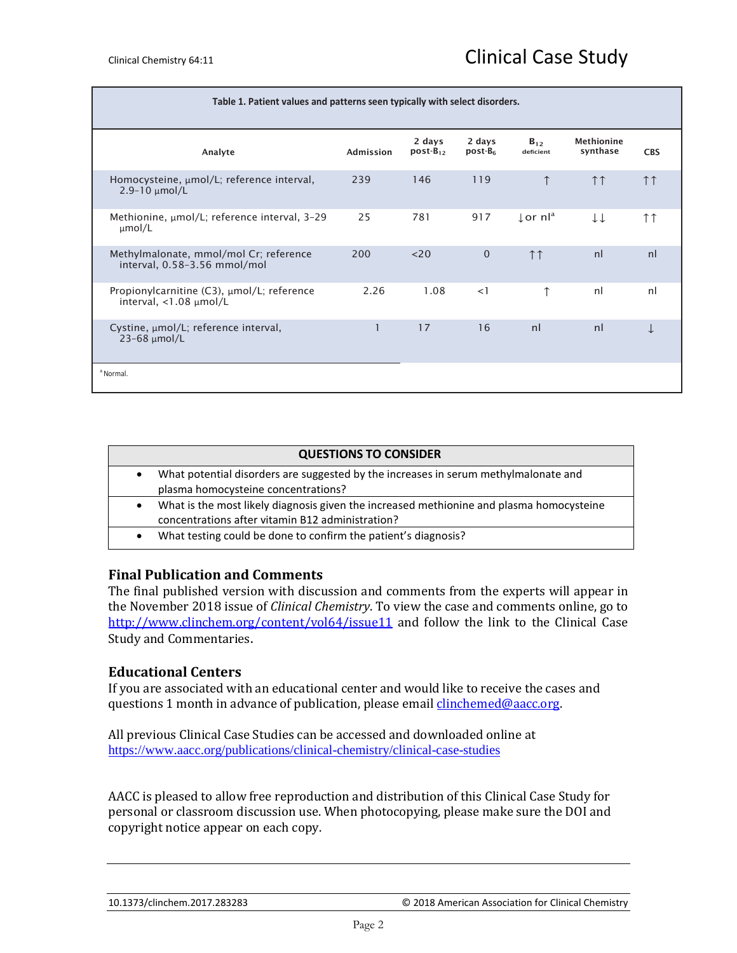| Table 1. Patient values and patterns seen typically with select disorders.   |                  |                         |                     |                                 |                        |                     |
|------------------------------------------------------------------------------|------------------|-------------------------|---------------------|---------------------------------|------------------------|---------------------|
| Analyte                                                                      | <b>Admission</b> | 2 days<br>$post-B_{12}$ | 2 days<br>$post-B6$ | $B_{12}$<br>deficient           | Methionine<br>synthase | <b>CBS</b>          |
| Homocysteine, µmol/L; reference interval,<br>$2.9 - 10$ µmol/L               | 239              | 146                     | 119                 | $\uparrow$                      | $\uparrow \uparrow$    | $\uparrow \uparrow$ |
| Methionine, µmol/L; reference interval, 3-29<br>$\mu$ mol/L                  | 25               | 781                     | 917                 | $\downarrow$ or nl <sup>a</sup> | TT                     | ↑↑                  |
| Methylmalonate, mmol/mol Cr; reference<br>interval, 0.58-3.56 mmol/mol       | 200              | $<$ 20                  | $\mathbf 0$         | $\uparrow \uparrow$             | n <sub>l</sub>         | nl                  |
| Propionylcarnitine (C3), umol/L; reference<br>interval, $<$ 1.08 $\mu$ mol/L | 2.26             | 1.08                    | <1                  | ↑                               | nl                     | nl                  |
| Cystine, $\mu$ mol/L; reference interval,<br>$23-68$ µmol/L                  |                  | 17                      | 16                  | nl                              | nl                     |                     |
| <sup>a</sup> Normal.                                                         |                  |                         |                     |                                 |                        |                     |

| <b>QUESTIONS TO CONSIDER</b> |                                                                                                                                              |  |
|------------------------------|----------------------------------------------------------------------------------------------------------------------------------------------|--|
|                              | What potential disorders are suggested by the increases in serum methylmalonate and<br>plasma homocysteine concentrations?                   |  |
|                              | What is the most likely diagnosis given the increased methionine and plasma homocysteine<br>concentrations after vitamin B12 administration? |  |
|                              | What testing could be done to confirm the patient's diagnosis?                                                                               |  |

## **Final Publication and Comments**

The final published version with discussion and comments from the experts will appear in the November 2018 issue of *Clinical Chemistry*. To view the case and comments online, go to <http://www.clinchem.org/content/vol64/issue11> and follow the link to the Clinical Case Study and Commentaries.

## **Educational Centers**

If you are associated with an educational center and would like to receive the cases and questions 1 month in advance of publication, please email *clinchemed@aacc.org*.

All previous Clinical Case Studies can be accessed and downloaded online at <https://www.aacc.org/publications/clinical-chemistry/clinical-case-studies>

AACC is pleased to allow free reproduction and distribution of this Clinical Case Study for personal or classroom discussion use. When photocopying, please make sure the DOI and copyright notice appear on each copy.